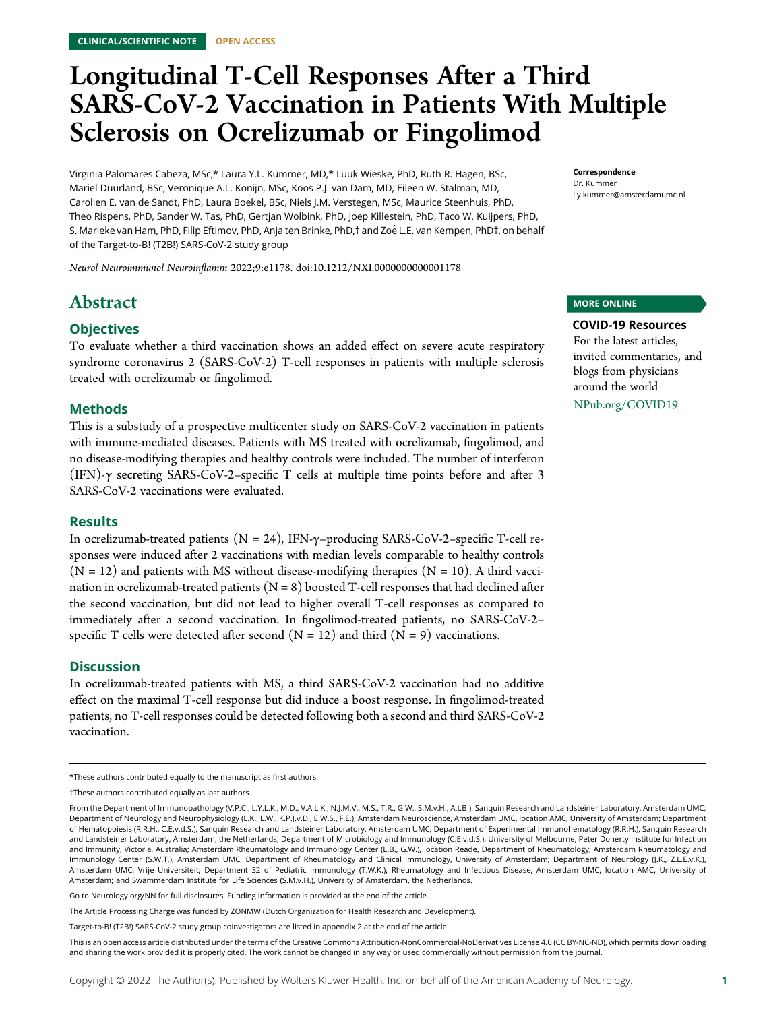# Longitudinal T-Cell Responses After a Third SARS-CoV-2 Vaccination in Patients With Multiple Sclerosis on Ocrelizumab or Fingolimod

Virginia Palomares Cabeza, MSc,\* Laura Y.L. Kummer, MD,\* Luuk Wieske, PhD, Ruth R. Hagen, BSc, Mariel Duurland, BSc, Veronique A.L. Konijn, MSc, Koos P.J. van Dam, MD, Eileen W. Stalman, MD, Carolien E. van de Sandt, PhD, Laura Boekel, BSc, Niels J.M. Verstegen, MSc, Maurice Steenhuis, PhD, Theo Rispens, PhD, Sander W. Tas, PhD, Gertjan Wolbink, PhD, Joep Killestein, PhD, Taco W. Kuijpers, PhD, S. Marieke van Ham, PhD, Filip Eftimov, PhD, Anja ten Brinke, PhD,† and Zoé L.E. van Kempen, PhD†, on behalf of the Target-to-B! (T2B!) SARS-CoV-2 study group

Neurol Neuroimmunol Neuroinflamm 2022;9:e1178. doi[:10.1212/NXI.0000000000001178](http://dx.doi.org/10.1212/NXI.0000000000001178)

# Abstract

### **Objectives**

To evaluate whether a third vaccination shows an added effect on severe acute respiratory syndrome coronavirus 2 (SARS-CoV-2) T-cell responses in patients with multiple sclerosis treated with ocrelizumab or fingolimod.

### Methods

This is a substudy of a prospective multicenter study on SARS-CoV-2 vaccination in patients with immune-mediated diseases. Patients with MS treated with ocrelizumab, fingolimod, and no disease-modifying therapies and healthy controls were included. The number of interferon (IFN)- $\gamma$  secreting SARS-CoV-2–specific T cells at multiple time points before and after 3 SARS-CoV-2 vaccinations were evaluated.

### **Results**

In ocrelizumab-treated patients ( $N = 24$ ), IFN- $\gamma$ -producing SARS-CoV-2-specific T-cell responses were induced after 2 vaccinations with median levels comparable to healthy controls  $(N = 12)$  and patients with MS without disease-modifying therapies  $(N = 10)$ . A third vaccination in ocrelizumab-treated patients  $(N = 8)$  boosted T-cell responses that had declined after the second vaccination, but did not lead to higher overall T-cell responses as compared to immediately after a second vaccination. In fingolimod-treated patients, no SARS-CoV-2– specific T cells were detected after second  $(N = 12)$  and third  $(N = 9)$  vaccinations.

### **Discussion**

In ocrelizumab-treated patients with MS, a third SARS-CoV-2 vaccination had no additive effect on the maximal T-cell response but did induce a boost response. In fingolimod-treated patients, no T-cell responses could be detected following both a second and third SARS-CoV-2 vaccination.

Go to [Neurology.org/NN](https://nn.neurology.org/content/9/4/e1178/tab-article-info) for full disclosures. Funding information is provided at the end of the article.

The Article Processing Charge was funded by ZONMW (Dutch Organization for Health Research and Development).

Correspondence Dr. Kummer [l.y.kummer@amsterdamumc.nl](mailto:l.y.kummer@amsterdamumc.nl)

### MORE ONLINE

### COVID-19 Resources

For the latest articles, invited commentaries, and blogs from physicians around the world [NPub.org/COVID19](http://NPub.org/COVID19)

<sup>\*</sup>These authors contributed equally to the manuscript as first authors.

<sup>†</sup>These authors contributed equally as last authors.

From the Department of Immunopathology (V.P.C., L.Y.L.K., M.D., V.A.L.K., N.J.M.V., M.S., T.R., G.W., S.M.v.H., A.t.B.), Sanquin Research and Landsteiner Laboratory, Amsterdam UMC; Department of Neurology and Neurophysiology (L.K., L.W., K.P.J.v.D., E.W.S., F.E.), Amsterdam Neuroscience, Amsterdam UMC, location AMC, University of Amsterdam; Department of Hematopoiesis (R.R.H., C.E.v.d.S.), Sanquin Research and Landsteiner Laboratory, Amsterdam UMC; Department of Experimental Immunohematology (R.R.H.), Sanquin Research and Landsteiner Laboratory, Amsterdam, the Netherlands; Department of Microbiology and Immunology (C.E.v.d.S.), University of Melbourne, Peter Doherty Institute for Infection and Immunity, Victoria, Australia; Amsterdam Rheumatology and Immunology Center (L.B., G.W.), location Reade, Department of Rheumatology; Amsterdam Rheumatology and Immunology Center (S.W.T.), Amsterdam UMC, Department of Rheumatology and Clinical Immunology, University of Amsterdam; Department of Neurology (J.K., Z.L.E.v.K.), Amsterdam UMC, Vrije Universiteit; Department 32 of Pediatric Immunology (T.W.K.), Rheumatology and Infectious Disease, Amsterdam UMC, location AMC, University of Amsterdam; and Swammerdam Institute for Life Sciences (S.M.v.H.), University of Amsterdam, the Netherlands.

Target-to-B! (T2B!) SARS-CoV-2 study group coinvestigators are listed in appendix 2 at the end of the article.

This is an open access article distributed under the terms of the [Creative Commons Attribution-NonCommercial-NoDerivatives License 4.0 \(CC BY-NC-ND\),](http://creativecommons.org/licenses/by-nc-nd/4.0/) which permits downloading and sharing the work provided it is properly cited. The work cannot be changed in any way or used commercially without permission from the journal.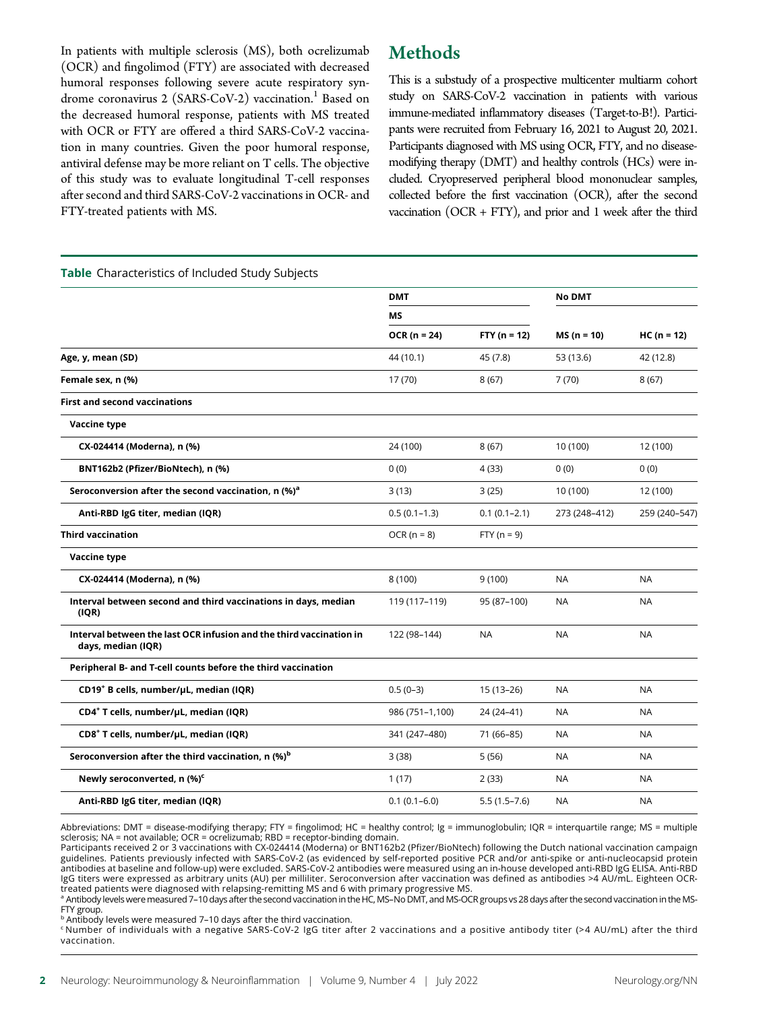In patients with multiple sclerosis (MS), both ocrelizumab (OCR) and fingolimod (FTY) are associated with decreased humoral responses following severe acute respiratory syndrome coronavirus 2 (SARS-CoV-2) vaccination.<sup>1</sup> Based on the decreased humoral response, patients with MS treated with OCR or FTY are offered a third SARS-CoV-2 vaccination in many countries. Given the poor humoral response, antiviral defense may be more reliant on T cells. The objective of this study was to evaluate longitudinal T-cell responses after second and third SARS-CoV-2 vaccinations in OCR- and FTY-treated patients with MS.

# Methods

This is a substudy of a prospective multicenter multiarm cohort study on SARS-CoV-2 vaccination in patients with various immune-mediated inflammatory diseases (Target-to-B!). Participants were recruited from February 16, 2021 to August 20, 2021. Participants diagnosed with MS using OCR, FTY, and no diseasemodifying therapy (DMT) and healthy controls (HCs) were included. Cryopreserved peripheral blood mononuclear samples, collected before the first vaccination (OCR), after the second vaccination  $(OCR + FTY)$ , and prior and 1 week after the third

| Table Characteristics of Included Study Subjects                                          |                  |                  |               |               |
|-------------------------------------------------------------------------------------------|------------------|------------------|---------------|---------------|
|                                                                                           | <b>DMT</b>       |                  | <b>No DMT</b> |               |
|                                                                                           | <b>MS</b>        |                  |               | $HC (n = 12)$ |
|                                                                                           | $OCR (n = 24)$   | $FTY (n = 12)$   | $MS(n = 10)$  |               |
| Age, y, mean (SD)                                                                         | 44 (10.1)        | 45 (7.8)         | 53 (13.6)     | 42 (12.8)     |
| Female sex, n (%)                                                                         | 17 (70)          | 8(67)            | 7(70)         | 8(67)         |
| <b>First and second vaccinations</b>                                                      |                  |                  |               |               |
| Vaccine type                                                                              |                  |                  |               |               |
| CX-024414 (Moderna), n (%)                                                                | 24 (100)         | 8(67)            | 10 (100)      | 12 (100)      |
| BNT162b2 (Pfizer/BioNtech), n (%)                                                         | 0(0)             | 4 (33)           | 0(0)          | 0(0)          |
| Seroconversion after the second vaccination, n (%) <sup>a</sup>                           | 3(13)            | 3(25)            | 10 (100)      | 12 (100)      |
| Anti-RBD IgG titer, median (IQR)                                                          | $0.5(0.1-1.3)$   | $0.1(0.1 - 2.1)$ | 273 (248-412) | 259 (240-547) |
| <b>Third vaccination</b>                                                                  | $OCR (n = 8)$    | $FTY (n = 9)$    |               |               |
| Vaccine type                                                                              |                  |                  |               |               |
| CX-024414 (Moderna), n (%)                                                                | 8(100)           | 9(100)           | <b>NA</b>     | <b>NA</b>     |
| Interval between second and third vaccinations in days, median<br>(IQR)                   | 119 (117–119)    | 95 (87-100)      | <b>NA</b>     | <b>NA</b>     |
| Interval between the last OCR infusion and the third vaccination in<br>days, median (IQR) | 122 (98-144)     | <b>NA</b>        | <b>NA</b>     | <b>NA</b>     |
| Peripheral B- and T-cell counts before the third vaccination                              |                  |                  |               |               |
| CD19 <sup>+</sup> B cells, number/µL, median (IQR)                                        | $0.5(0-3)$       | 15 (13-26)       | <b>NA</b>     | <b>NA</b>     |
| CD4 <sup>+</sup> T cells, number/uL, median (IQR)                                         | 986 (751-1,100)  | 24 (24-41)       | <b>NA</b>     | <b>NA</b>     |
| CD8 <sup>+</sup> T cells, number/µL, median (IQR)                                         | 341 (247-480)    | 71 (66-85)       | <b>NA</b>     | <b>NA</b>     |
| Seroconversion after the third vaccination, n (%) <sup>b</sup>                            | 3(38)            | 5(56)            | <b>NA</b>     | <b>NA</b>     |
| Newly seroconverted, n (%) <sup>c</sup>                                                   | 1(17)            | 2(33)            | <b>NA</b>     | <b>NA</b>     |
| Anti-RBD IgG titer, median (IQR)                                                          | $0.1(0.1 - 6.0)$ | $5.5(1.5 - 7.6)$ | <b>NA</b>     | <b>NA</b>     |
|                                                                                           |                  |                  |               |               |

Abbreviations: DMT = disease-modifying therapy; FTY = fingolimod; HC = healthy control; Ig = immunoglobulin; IQR = interquartile range; MS = multiple<br>sclerosis; NA = not available; OCR = ocrelizumab; RBD = receptor-binding

Participants received 2 or 3 vaccinations with CX-024414 (Moderna) or BNT162b2 (Pfizer/BioNtech) following the Dutch national vaccination campaign guidelines. Patients previously infected with SARS-CoV-2 (as evidenced by self-reported positive PCR and/or anti-spike or anti-nucleocapsid protein antibodies at baseline and follow-up) were excluded. SARS-CoV-2 antibodies were measured using an in-house developed anti-RBD IgG ELISA. Anti-RBD IgG titers were expressed as arbitrary units (AU) per milliliter. Seroconversion after vaccination was defined as antibodies >4 AU/mL. Eighteen OCRtreated patients were diagnosed with relapsing-remitting MS and 6 with primary progressive MS.

a Antibody levels were measured 7–10 days after the second vaccination in the HC, MS–No DMT, and MS-OCR groups vs 28 days after the second vaccination in the MS-FTY group.

**b Antibody levels were measured 7–10 days after the third vaccination.** 

 $c$  Number of individuals with a negative SARS-CoV-2 IgG titer after 2 vaccinations and a positive antibody titer (>4 AU/mL) after the third vaccination.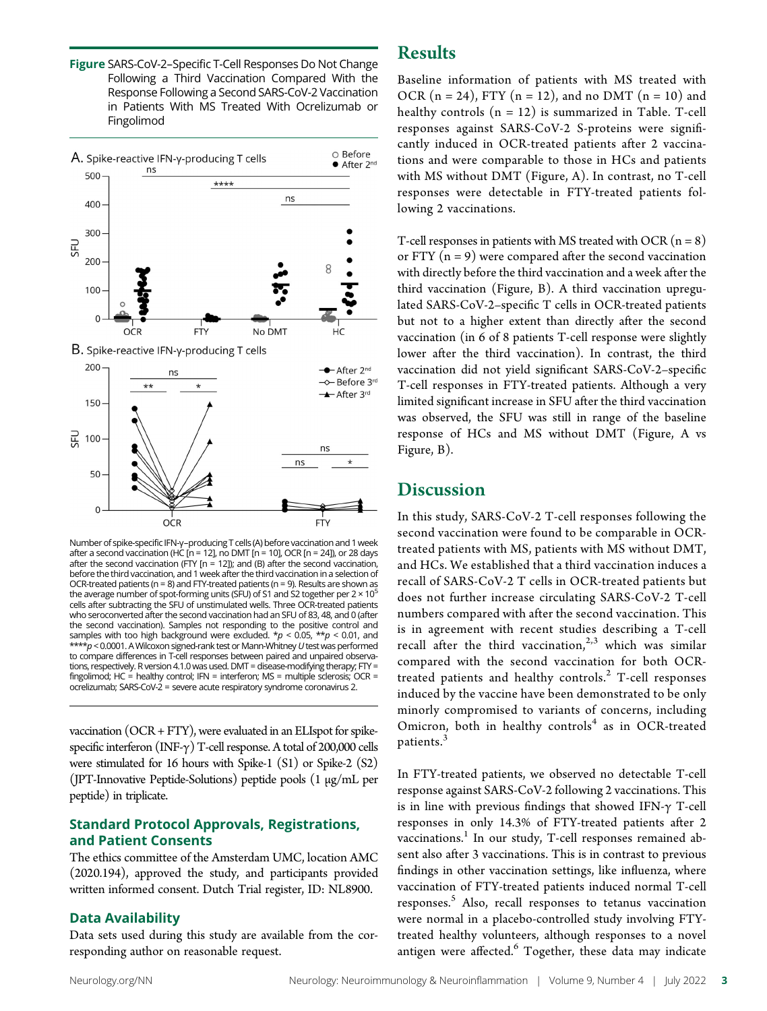Figure SARS-CoV-2–Specific T-Cell Responses Do Not Change Following a Third Vaccination Compared With the Response Following a Second SARS-CoV-2 Vaccination in Patients With MS Treated With Ocrelizumab or Fingolimod



Number of spike-specific IFN-γ–producing T cells(A) before vaccination and 1 week after a second vaccination (HC  $[n = 12]$ , no DMT  $[n = 10]$ , OCR  $[n = 24]$ ), or 28 days after the second vaccination (FTY [n = 12]); and (B) after the second vaccination, before the third vaccination, and 1 week after the third vaccination in a selection of OCR-treated patients ( $n = 8$ ) and FTY-treated patients ( $n = 9$ ). Results are shown as the average number of spot-forming units (SFU) of S1 and S2 together per  $2 \times 10^5$ cells after subtracting the SFU of unstimulated wells. Three OCR-treated patients who seroconverted after the second vaccination had an SFU of 83, 48, and 0 (after the second vaccination). Samples not responding to the positive control and samples with too high background were excluded. \*p < 0.05, \*\*p < 0.01, and<br>\*\*\*\*p < 0.0001. A Wilcoxon signed-rank test or Mann-Whitney U test was performed to compare differences in T-cell responses between paired and unpaired observations, respectively. R version 4.1.0 was used. DMT = disease-modifying therapy; FTY = fingolimod; HC = healthy control; IFN = interferon; MS = multiple sclerosis; OCR = ocrelizumab; SARS-CoV-2 = severe acute respiratory syndrome coronavirus 2.

vaccination (OCR + FTY), were evaluated in an ELIspot for spikespecific interferon (INF- $\gamma$ ) T-cell response. A total of 200,000 cells were stimulated for 16 hours with Spike-1 (S1) or Spike-2 (S2) (JPT-Innovative Peptide-Solutions) peptide pools (1 μg/mL per peptide) in triplicate.

### Standard Protocol Approvals, Registrations, and Patient Consents

The ethics committee of the Amsterdam UMC, location AMC (2020.194), approved the study, and participants provided written informed consent. Dutch Trial register, ID: NL8900.

### Data Availability

Data sets used during this study are available from the corresponding author on reasonable request.

# Results

Baseline information of patients with MS treated with OCR  $(n = 24)$ , FTY  $(n = 12)$ , and no DMT  $(n = 10)$  and healthy controls  $(n = 12)$  is summarized in Table. T-cell responses against SARS-CoV-2 S-proteins were significantly induced in OCR-treated patients after 2 vaccinations and were comparable to those in HCs and patients with MS without DMT (Figure, A). In contrast, no T-cell responses were detectable in FTY-treated patients following 2 vaccinations.

T-cell responses in patients with MS treated with OCR  $(n = 8)$ or FTY  $(n = 9)$  were compared after the second vaccination with directly before the third vaccination and a week after the third vaccination (Figure, B). A third vaccination upregulated SARS-CoV-2–specific T cells in OCR-treated patients but not to a higher extent than directly after the second vaccination (in 6 of 8 patients T-cell response were slightly lower after the third vaccination). In contrast, the third vaccination did not yield significant SARS-CoV-2–specific T-cell responses in FTY-treated patients. Although a very limited significant increase in SFU after the third vaccination was observed, the SFU was still in range of the baseline response of HCs and MS without DMT (Figure, A vs Figure, B).

## **Discussion**

In this study, SARS-CoV-2 T-cell responses following the second vaccination were found to be comparable in OCRtreated patients with MS, patients with MS without DMT, and HCs. We established that a third vaccination induces a recall of SARS-CoV-2 T cells in OCR-treated patients but does not further increase circulating SARS-CoV-2 T-cell numbers compared with after the second vaccination. This is in agreement with recent studies describing a T-cell recall after the third vaccination,<sup>2,3</sup> which was similar compared with the second vaccination for both OCRtreated patients and healthy controls. $2$  T-cell responses induced by the vaccine have been demonstrated to be only minorly compromised to variants of concerns, including Omicron, both in healthy controls<sup>4</sup> as in OCR-treated patients.<sup>3</sup>

In FTY-treated patients, we observed no detectable T-cell response against SARS-CoV-2 following 2 vaccinations. This is in line with previous findings that showed IFN- $\gamma$  T-cell responses in only 14.3% of FTY-treated patients after 2 vaccinations.<sup>1</sup> In our study, T-cell responses remained absent also after 3 vaccinations. This is in contrast to previous findings in other vaccination settings, like influenza, where vaccination of FTY-treated patients induced normal T-cell responses.<sup>5</sup> Also, recall responses to tetanus vaccination were normal in a placebo-controlled study involving FTYtreated healthy volunteers, although responses to a novel antigen were affected.<sup>6</sup> Together, these data may indicate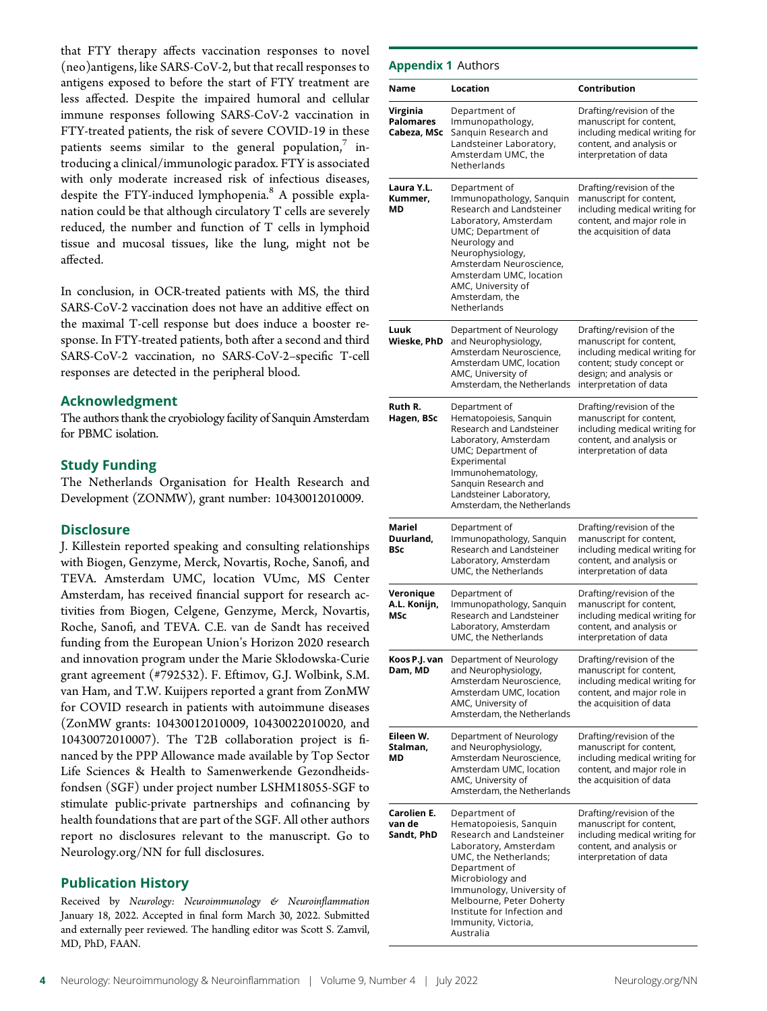that FTY therapy affects vaccination responses to novel (neo)antigens, like SARS-CoV-2, but that recall responses to antigens exposed to before the start of FTY treatment are less affected. Despite the impaired humoral and cellular immune responses following SARS-CoV-2 vaccination in FTY-treated patients, the risk of severe COVID-19 in these patients seems similar to the general population, $\frac{7}{1}$  introducing a clinical/immunologic paradox. FTY is associated with only moderate increased risk of infectious diseases, despite the FTY-induced lymphopenia.<sup>8</sup> A possible explanation could be that although circulatory T cells are severely reduced, the number and function of T cells in lymphoid tissue and mucosal tissues, like the lung, might not be affected.

In conclusion, in OCR-treated patients with MS, the third SARS-CoV-2 vaccination does not have an additive effect on the maximal T-cell response but does induce a booster response. In FTY-treated patients, both after a second and third SARS-CoV-2 vaccination, no SARS-CoV-2–specific T-cell responses are detected in the peripheral blood.

### Acknowledgment

The authors thank the cryobiology facility of Sanquin Amsterdam for PBMC isolation.

### Study Funding

The Netherlands Organisation for Health Research and Development (ZONMW), grant number: 10430012010009.

### **Disclosure**

J. Killestein reported speaking and consulting relationships with Biogen, Genzyme, Merck, Novartis, Roche, Sanofi, and TEVA. Amsterdam UMC, location VUmc, MS Center Amsterdam, has received financial support for research activities from Biogen, Celgene, Genzyme, Merck, Novartis, Roche, Sanofi, and TEVA. C.E. van de Sandt has received funding from the European Union's Horizon 2020 research and innovation program under the Marie Skłodowska-Curie grant agreement (#792532). F. Eftimov, G.J. Wolbink, S.M. van Ham, and T.W. Kuijpers reported a grant from ZonMW for COVID research in patients with autoimmune diseases (ZonMW grants: 10430012010009, 10430022010020, and 10430072010007). The T2B collaboration project is financed by the PPP Allowance made available by Top Sector Life Sciences & Health to Samenwerkende Gezondheidsfondsen (SGF) under project number LSHM18055-SGF to stimulate public-private partnerships and cofinancing by health foundations that are part of the SGF. All other authors report no disclosures relevant to the manuscript. Go to [Neurology.org/NN](https://nn.neurology.org/content/9/4/e1178/tab-article-info) for full disclosures.

### Publication History

Received by Neurology: Neuroimmunology & Neuroinflammation January 18, 2022. Accepted in final form March 30, 2022. Submitted and externally peer reviewed. The handling editor was Scott S. Zamvil, MD, PhD, FAAN.

### Appendix 1 Authors

| Name                                        | Location                                                                                                                                                                                                                                                                               | Contribution                                                                                                                                                           |
|---------------------------------------------|----------------------------------------------------------------------------------------------------------------------------------------------------------------------------------------------------------------------------------------------------------------------------------------|------------------------------------------------------------------------------------------------------------------------------------------------------------------------|
| Virginia<br><b>Palomares</b><br>Cabeza, MSc | Department of<br>Immunopathology,<br>Sanguin Research and<br>Landsteiner Laboratory,<br>Amsterdam UMC, the<br>Netherlands                                                                                                                                                              | Drafting/revision of the<br>manuscript for content,<br>including medical writing for<br>content, and analysis or<br>interpretation of data                             |
| Laura Y.L.<br>Kummer,<br>МD                 | Department of<br>Immunopathology, Sanquin<br>Research and Landsteiner<br>Laboratory, Amsterdam<br>UMC; Department of<br>Neurology and<br>Neurophysiology,<br>Amsterdam Neuroscience,<br>Amsterdam UMC, location<br>AMC, University of<br>Amsterdam, the<br>Netherlands                 | Drafting/revision of the<br>manuscript for content,<br>including medical writing for<br>content, and major role in<br>the acquisition of data                          |
| Luuk<br>Wieske, PhD                         | Department of Neurology<br>and Neurophysiology,<br>Amsterdam Neuroscience,<br>Amsterdam UMC, location<br>AMC, University of<br>Amsterdam, the Netherlands                                                                                                                              | Drafting/revision of the<br>manuscript for content,<br>including medical writing for<br>content; study concept or<br>design; and analysis or<br>interpretation of data |
| Ruth R.<br>Hagen, BSc                       | Department of<br>Hematopoiesis, Sanquin<br>Research and Landsteiner<br>Laboratory, Amsterdam<br>UMC; Department of<br>Experimental<br>Immunohematology,<br>Sanguin Research and<br>Landsteiner Laboratory,<br>Amsterdam, the Netherlands                                               | Drafting/revision of the<br>manuscript for content,<br>including medical writing for<br>content, and analysis or<br>interpretation of data                             |
| Mariel<br>Duurland,<br>BSc                  | Department of<br>Immunopathology, Sanquin<br>Research and Landsteiner<br>Laboratory, Amsterdam<br>UMC, the Netherlands                                                                                                                                                                 | Drafting/revision of the<br>manuscript for content,<br>including medical writing for<br>content, and analysis or<br>interpretation of data                             |
| Veronique<br>A.L. Konijn,<br>MSc            | Department of<br>Immunopathology, Sanquin<br>Research and Landsteiner<br>Laboratory, Amsterdam<br>UMC, the Netherlands                                                                                                                                                                 | Drafting/revision of the<br>manuscript for content,<br>including medical writing for<br>content, and analysis or<br>interpretation of data                             |
| Koos P.J. van<br>Dam, MD                    | Department of Neurology<br>and Neurophysiology,<br>Amsterdam Neuroscience,<br>Amsterdam UMC, location<br>AMC, University of<br>Amsterdam, the Netherlands                                                                                                                              | Drafting/revision of the<br>manuscript for content,<br>including medical writing for<br>content, and major role in<br>the acquisition of data                          |
| Eileen W.<br>Stalman,<br>МD                 | Department of Neurology<br>and Neurophysiology,<br>Amsterdam Neuroscience,<br>Amsterdam UMC, location<br>AMC, University of<br>Amsterdam, the Netherlands                                                                                                                              | Drafting/revision of the<br>manuscript for content,<br>including medical writing for<br>content, and major role in<br>the acquisition of data                          |
| Carolien E.<br>van de<br>Sandt, PhD         | Department of<br>Hematopoiesis, Sanquin<br>Research and Landsteiner<br>Laboratory, Amsterdam<br>UMC, the Netherlands;<br>Department of<br>Microbiology and<br>Immunology, University of<br>Melbourne, Peter Doherty<br>Institute for Infection and<br>Immunity, Victoria,<br>Australia | Drafting/revision of the<br>manuscript for content,<br>including medical writing for<br>content, and analysis or<br>interpretation of data                             |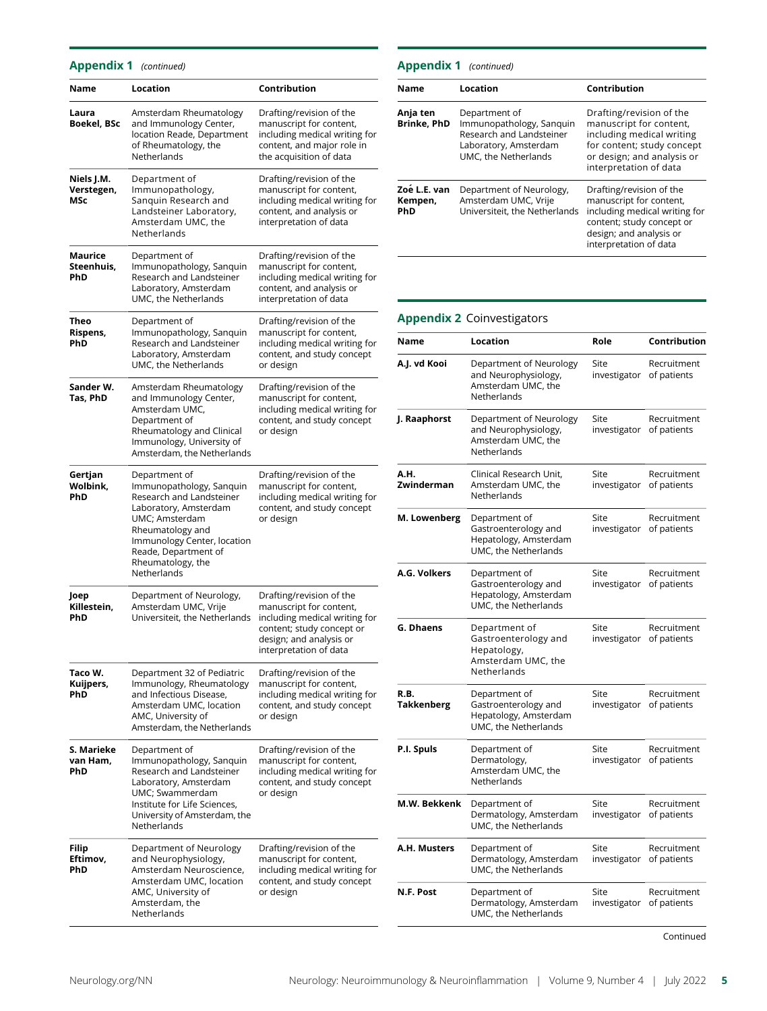### Appendix 1 (continued)

| Name                            | Location                                                                                                                                                                                                                        | Contribution                                                                                                                                                           |
|---------------------------------|---------------------------------------------------------------------------------------------------------------------------------------------------------------------------------------------------------------------------------|------------------------------------------------------------------------------------------------------------------------------------------------------------------------|
| Laura<br>Boekel, BSc            | Amsterdam Rheumatology<br>and Immunology Center,<br>location Reade, Department<br>of Rheumatology, the<br>Netherlands                                                                                                           | Drafting/revision of the<br>manuscript for content,<br>including medical writing for<br>content, and major role in<br>the acquisition of data                          |
| Niels J.M.<br>Verstegen,<br>MSc | Department of<br>Immunopathology,<br>Sanguin Research and<br>Landsteiner Laboratory,<br>Amsterdam UMC, the<br>Netherlands                                                                                                       | Drafting/revision of the<br>manuscript for content,<br>including medical writing for<br>content, and analysis or<br>interpretation of data                             |
| Maurice<br>Steenhuis,<br>PhD    | Department of<br>Immunopathology, Sanquin<br>Research and Landsteiner<br>Laboratory, Amsterdam<br>UMC, the Netherlands                                                                                                          | Drafting/revision of the<br>manuscript for content,<br>including medical writing for<br>content, and analysis or<br>interpretation of data                             |
| Theo<br>Rispens,<br>PhD         | Department of<br>Immunopathology, Sanquin<br>Research and Landsteiner<br>Laboratory, Amsterdam<br>UMC, the Netherlands                                                                                                          | Drafting/revision of the<br>manuscript for content,<br>including medical writing for<br>content, and study concept<br>or design                                        |
| Sander W.<br>Tas, PhD           | Amsterdam Rheumatology<br>and Immunology Center,<br>Amsterdam UMC.<br>Department of<br>Rheumatology and Clinical<br>Immunology, University of<br>Amsterdam, the Netherlands                                                     | Drafting/revision of the<br>manuscript for content,<br>including medical writing for<br>content, and study concept<br>or design                                        |
| Gertjan<br>Wolbink,<br>PhD      | Department of<br>Immunopathology, Sanquin<br>Research and Landsteiner<br>Laboratory, Amsterdam<br>UMC; Amsterdam<br>Rheumatology and<br>Immunology Center, location<br>Reade, Department of<br>Rheumatology, the<br>Netherlands | Drafting/revision of the<br>manuscript for content,<br>including medical writing for<br>content, and study concept<br>or design                                        |
| Joep<br>Killestein,<br>PhD      | Department of Neurology,<br>Amsterdam UMC, Vrije<br>Universiteit, the Netherlands                                                                                                                                               | Drafting/revision of the<br>manuscript for content,<br>including medical writing for<br>content; study concept or<br>design; and analysis or<br>interpretation of data |
| Taco W.<br>Kuijpers,<br>PhD     | Department 32 of Pediatric<br>Immunology, Rheumatology<br>and Infectious Disease,<br>Amsterdam UMC, location<br>AMC, University of<br>Amsterdam, the Netherlands                                                                | Drafting/revision of the<br>manuscript for content,<br>including medical writing for<br>content, and study concept<br>or design                                        |
| S. Marieke<br>van Ham,<br>PhD   | Department of<br>Immunopathology, Sanquin<br>Research and Landsteiner<br>Laboratory, Amsterdam<br>UMC; Swammerdam<br>Institute for Life Sciences,<br>University of Amsterdam, the<br>Netherlands                                | Drafting/revision of the<br>manuscript for content,<br>including medical writing for<br>content, and study concept<br>or design                                        |
| Filip<br>Eftimov,<br>PhD        | Department of Neurology<br>and Neurophysiology,<br>Amsterdam Neuroscience,<br>Amsterdam UMC, location<br>AMC, University of<br>Amsterdam, the<br>Netherlands                                                                    | Drafting/revision of the<br>manuscript for content,<br>including medical writing for<br>content, and study concept<br>or design                                        |

| <b>Appendix 1</b> (continued)  |                                                                                                                        |                                                                                                                                                                        |
|--------------------------------|------------------------------------------------------------------------------------------------------------------------|------------------------------------------------------------------------------------------------------------------------------------------------------------------------|
| Name                           | Location                                                                                                               | Contribution                                                                                                                                                           |
| Anja ten<br><b>Brinke, PhD</b> | Department of<br>Immunopathology, Sanquin<br>Research and Landsteiner<br>Laboratory, Amsterdam<br>UMC, the Netherlands | Drafting/revision of the<br>manuscript for content,<br>including medical writing<br>for content; study concept<br>or design; and analysis or<br>interpretation of data |
| Zoe L.E. van<br>Kempen,<br>PhD | Department of Neurology,<br>Amsterdam UMC, Vrije<br>Universiteit, the Netherlands                                      | Drafting/revision of the<br>manuscript for content,<br>including medical writing for<br>content; study concept or<br>design; and analysis or<br>interpretation of data |

### Appendix 2 Coinvestigators

| Name                      | Location                                                                                  | Role                 | Contribution               |
|---------------------------|-------------------------------------------------------------------------------------------|----------------------|----------------------------|
| A.J. vd Kooi              | Department of Neurology<br>and Neurophysiology,<br>Amsterdam UMC, the<br>Netherlands      | Site<br>investigator | Recruitment<br>of patients |
| J. Raaphorst              | Department of Neurology<br>and Neurophysiology,<br>Amsterdam UMC, the<br>Netherlands      | Site<br>investigator | Recruitment<br>of patients |
| А.Н.<br>Zwinderman        | Clinical Research Unit.<br>Amsterdam UMC, the<br>Netherlands                              | Site<br>investigator | Recruitment<br>of patients |
| M. Lowenberg              | Department of<br>Gastroenterology and<br>Hepatology, Amsterdam<br>UMC, the Netherlands    | Site<br>investigator | Recruitment<br>of patients |
| A.G. Volkers              | Department of<br>Gastroenterology and<br>Hepatology, Amsterdam<br>UMC, the Netherlands    | Site<br>investigator | Recruitment<br>of patients |
| G. Dhaens                 | Department of<br>Gastroenterology and<br>Hepatology,<br>Amsterdam UMC, the<br>Netherlands | Site<br>investigator | Recruitment<br>of patients |
| R.B.<br><b>Takkenberg</b> | Department of<br>Gastroenterology and<br>Hepatology, Amsterdam<br>UMC, the Netherlands    | Site<br>investigator | Recruitment<br>of patients |
| P.I. Spuls                | Department of<br>Dermatology,<br>Amsterdam UMC, the<br>Netherlands                        | Site<br>investigator | Recruitment<br>of patients |
| M.W. Bekkenk              | Department of<br>Dermatology, Amsterdam<br>UMC, the Netherlands                           | Site<br>investigator | Recruitment<br>of patients |
| A.H. Musters              | Department of<br>Dermatology, Amsterdam<br>UMC, the Netherlands                           | Site<br>investigator | Recruitment<br>of patients |
| N.F. Post                 | Department of<br>Dermatology, Amsterdam<br>UMC, the Netherlands                           | Site<br>investigator | Recruitment<br>of patients |

Continued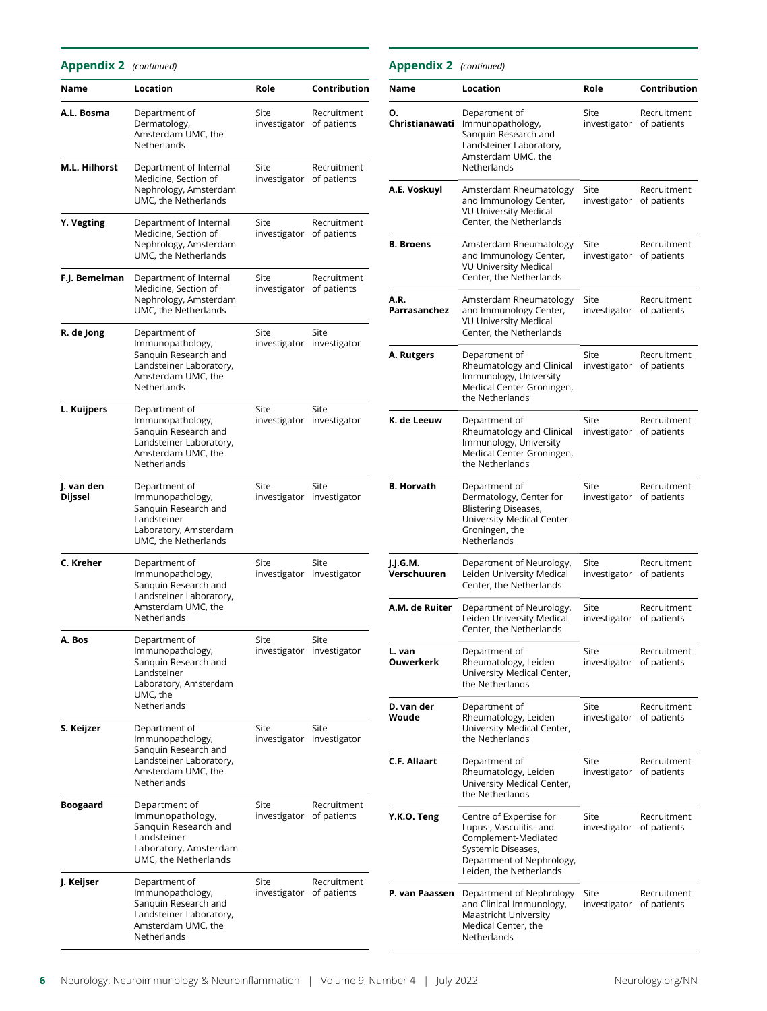### Appendix 2 (continued)

| <b>Appendix 2</b> (continued) |                                                                                                                           |                                  |                                   | <b>Appendix 2</b> (continued) |                                                                                         |
|-------------------------------|---------------------------------------------------------------------------------------------------------------------------|----------------------------------|-----------------------------------|-------------------------------|-----------------------------------------------------------------------------------------|
| Name                          | Location                                                                                                                  | Role                             | Contribution                      | Name                          | Location                                                                                |
| A.L. Bosma                    | Department of<br>Dermatology,<br>Amsterdam UMC, the<br>Netherlands                                                        | Site<br>investigator of patients | Recruitment                       | Ο.<br>Christianawati          | Departmer<br>Immunopa<br>Sanguin Re<br>Landsteine<br>Amsterdan                          |
| M.L. Hilhorst                 | Department of Internal<br>Medicine, Section of<br>Nephrology, Amsterdam                                                   | Site<br>investigator of patients | Recruitment                       | A.E. Voskuyl                  | Netherland<br>Amsterdan                                                                 |
|                               | UMC, the Netherlands                                                                                                      |                                  |                                   |                               | and Immur<br><b>VU Univers</b>                                                          |
| Y. Vegting                    | Department of Internal<br>Medicine, Section of<br>Nephrology, Amsterdam<br>UMC, the Netherlands                           | Site<br>investigator of patients | Recruitment                       | <b>B.</b> Broens              | Center, the<br>Amsterdan<br>and Immur                                                   |
| F.J. Bemelman                 | Department of Internal<br>Medicine, Section of                                                                            | Site<br>investigator of patients | Recruitment                       |                               | <b>VU Univers</b><br>Center, the                                                        |
|                               | Nephrology, Amsterdam<br>UMC, the Netherlands                                                                             |                                  |                                   | A.R.<br>Parrasanchez          | Amsterdan<br>and Immur<br><b>VU Univers</b>                                             |
| R. de Jong                    | Department of<br>Immunopathology,                                                                                         | Site                             | Site<br>investigator investigator |                               | Center, the                                                                             |
|                               | Sanguin Research and<br>Landsteiner Laboratory,<br>Amsterdam UMC, the<br>Netherlands                                      |                                  |                                   | A. Rutgers                    | Departmer<br>Rheumatol<br>Immunolog<br>Medical Ce<br>the Nether                         |
| L. Kuijpers                   | Department of<br>Immunopathology,<br>Sanguin Research and<br>Landsteiner Laboratory,<br>Amsterdam UMC, the<br>Netherlands | Site                             | Site<br>investigator investigator | K. de Leeuw                   | Departmer<br>Rheumatol<br>Immunolog<br>Medical Ce<br>the Nether                         |
| J. van den<br>Dijssel         | Department of<br>Immunopathology,<br>Sanguin Research and<br>Landsteiner<br>Laboratory, Amsterdam<br>UMC, the Netherlands | Site                             | Site<br>investigator investigator | <b>B. Horvath</b>             | Departmer<br>Dermatolo<br><b>Blistering D</b><br>University<br>Groningen,<br>Netherland |
| C. Kreher                     | Department of<br>Immunopathology,<br>Sanguin Research and<br>Landsteiner Laboratory,                                      | Site                             | Site<br>investigator investigator | J.J.G.M.<br>Verschuuren       | Departmer<br>Leiden Uni<br>Center, the                                                  |
|                               | Amsterdam UMC, the<br>Netherlands                                                                                         |                                  |                                   | A.M. de Ruiter                | Departmer<br>Leiden Uni<br>Center, the                                                  |
| A. Bos                        | Department of<br>Immunopathology,<br>Sanguin Research and<br>Landsteiner<br>Laboratory, Amsterdam<br>UMC, the             | Site                             | Site<br>investigator investigator | L. van<br><b>Ouwerkerk</b>    | Departmer<br>Rheumatol<br>University<br>the Nether                                      |
|                               | Netherlands                                                                                                               |                                  |                                   | D. van der<br>Woude           | Departmer<br>Rheumatol                                                                  |
| S. Keijzer                    | Department of<br>Immunopathology,<br>Sanguin Research and                                                                 | Site                             | Site<br>investigator investigator |                               | University<br>the Nether                                                                |
|                               | Landsteiner Laboratory,<br>Amsterdam UMC, the<br>Netherlands                                                              |                                  |                                   | C.F. Allaart                  | Departmer<br>Rheumatol<br>University                                                    |
| Boogaard                      | Department of                                                                                                             | Site<br>investigator of patients | Recruitment                       |                               | the Nether                                                                              |
|                               | Immunopathology,<br>Sanguin Research and<br>Landsteiner<br>Laboratory, Amsterdam<br>UMC, the Netherlands                  |                                  |                                   | Y.K.O. Teng                   | Centre of E<br>Lupus-, Vas<br>Compleme<br>Systemic D<br>Departmer                       |
| J. Keijser                    | Department of<br>Immunopathology,<br>Sanguin Research and<br>Landsteiner Laboratory,                                      | Site<br>investigator of patients | Recruitment                       | P. van Paassen                | Leiden, the<br>Departmer<br>and Clinica<br>Maastricht                                   |
|                               | Amsterdam UMC, the<br>Netherlands                                                                                         |                                  |                                   |                               | Medical Ce<br>Netherland                                                                |

| Name                    | Location                                                                                                                                                | Role                             | Contribution               |
|-------------------------|---------------------------------------------------------------------------------------------------------------------------------------------------------|----------------------------------|----------------------------|
| Ο.<br>Christianawati    | Department of<br>Immunopathology,<br>Sanguin Research and<br>Landsteiner Laboratory,<br>Amsterdam UMC, the<br>Netherlands                               | Site<br>investigator of patients | Recruitment                |
| A.E. Voskuyl            | Amsterdam Rheumatology<br>and Immunology Center,<br><b>VU University Medical</b><br>Center, the Netherlands                                             | Site<br>investigator of patients | Recruitment                |
| <b>B. Broens</b>        | Amsterdam Rheumatology<br>and Immunology Center,<br><b>VU University Medical</b><br>Center, the Netherlands                                             | Site<br>investigator of patients | Recruitment                |
| A.R.<br>Parrasanchez    | Amsterdam Rheumatology<br>and Immunology Center,<br><b>VU University Medical</b><br>Center, the Netherlands                                             | Site<br>investigator             | Recruitment<br>of patients |
| A. Rutgers              | Department of<br>Rheumatology and Clinical<br>Immunology, University<br>Medical Center Groningen,<br>the Netherlands                                    | Site<br>investigator             | Recruitment<br>of patients |
| K. de Leeuw             | Department of<br>Rheumatology and Clinical<br>Immunology, University<br>Medical Center Groningen,<br>the Netherlands                                    | Site<br>investigator             | Recruitment<br>of patients |
| <b>B. Horvath</b>       | Department of<br>Dermatology, Center for<br><b>Blistering Diseases,</b><br>University Medical Center<br>Groningen, the<br>Netherlands                   | Site<br>investigator             | Recruitment<br>of patients |
| J.J.G.M.<br>Verschuuren | Department of Neurology,<br>Leiden University Medical<br>Center, the Netherlands                                                                        | Site<br>investigator of patients | Recruitment                |
| A.M. de Ruiter          | Department of Neurology,<br>Leiden University Medical<br>Center, the Netherlands                                                                        | Site<br>investigator of patients | Recruitment                |
| L. van<br>Ouwerkerk     | Department of<br>Rheumatology, Leiden<br>University Medical Center,<br>the Netherlands                                                                  | Site<br>investigator of patients | Recruitment                |
| D. van der<br>Woude     | Department of<br>Rheumatology, Leiden<br>University Medical Center,<br>the Netherlands                                                                  | Site<br>investigator             | Recruitment<br>of patients |
| <b>C.F. Allaart</b>     | Department of<br>Rheumatology, Leiden<br>University Medical Center,<br>the Netherlands                                                                  | Site<br>investigator             | Recruitment<br>of patients |
| Y.K.O. Teng             | Centre of Expertise for<br>Lupus-, Vasculitis- and<br>Complement-Mediated<br>Systemic Diseases,<br>Department of Nephrology,<br>Leiden, the Netherlands | Site<br>investigator             | Recruitment<br>of patients |
| P. van Paassen          | Department of Nephrology<br>and Clinical Immunology,                                                                                                    | Site<br>investigator             | Recruitment<br>of patients |

Maastricht University Medical Center, the Netherlands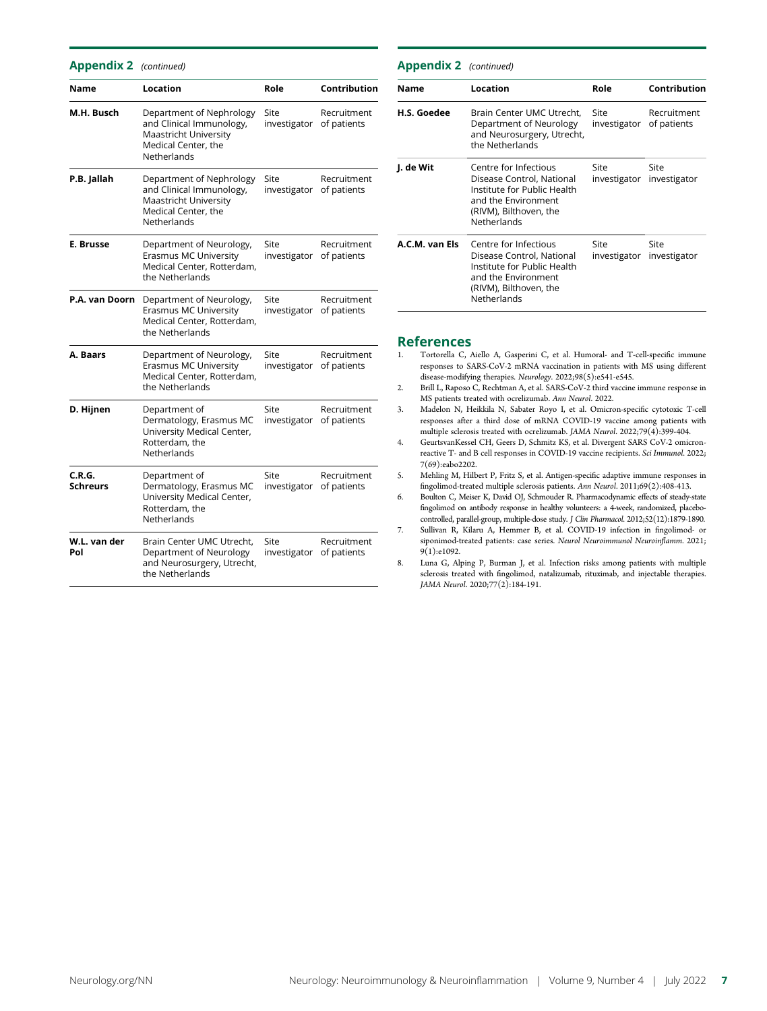| <b>Appendix 2</b> (continued) |                                                                                                                     |                                  |                            |
|-------------------------------|---------------------------------------------------------------------------------------------------------------------|----------------------------------|----------------------------|
| <b>Name</b>                   | Location                                                                                                            | Role                             | Contribution               |
| M.H. Busch                    | Department of Nephrology<br>and Clinical Immunology,<br>Maastricht University<br>Medical Center, the<br>Netherlands | Site<br>investigator             | Recruitment<br>of patients |
| P.B. Jallah                   | Department of Nephrology<br>and Clinical Immunology,<br>Maastricht University<br>Medical Center, the<br>Netherlands | Site<br>investigator             | Recruitment<br>of patients |
| E. Brusse                     | Department of Neurology,<br>Erasmus MC University<br>Medical Center, Rotterdam,<br>the Netherlands                  | Site<br>investigator             | Recruitment<br>of patients |
| P.A. van Doorn                | Department of Neurology,<br>Erasmus MC University<br>Medical Center, Rotterdam,<br>the Netherlands                  | Site<br>investigator             | Recruitment<br>of patients |
| A. Baars                      | Department of Neurology,<br>Erasmus MC University<br>Medical Center, Rotterdam,<br>the Netherlands                  | Site<br>investigator             | Recruitment<br>of patients |
| D. Hijnen                     | Department of<br>Dermatology, Erasmus MC<br>University Medical Center,<br>Rotterdam, the<br>Netherlands             | Site<br>investigator             | Recruitment<br>of patients |
| C.R.G.<br><b>Schreurs</b>     | Department of<br>Dermatology, Erasmus MC<br>University Medical Center,<br>Rotterdam, the<br>Netherlands             | Site<br>investigator of patients | Recruitment                |
| W.L. van der<br>Pol           | Brain Center UMC Utrecht.<br>Department of Neurology<br>and Neurosurgery, Utrecht,<br>the Netherlands               | Site<br>investigator             | Recruitment<br>of patients |

| <b>Appendix 2</b> (continued) |                                                                                                                                                   |                                  |                                   |
|-------------------------------|---------------------------------------------------------------------------------------------------------------------------------------------------|----------------------------------|-----------------------------------|
| <b>Name</b>                   | Location                                                                                                                                          | Role                             | Contribution                      |
| H.S. Goedee                   | Brain Center UMC Utrecht.<br>Department of Neurology<br>and Neurosurgery, Utrecht,<br>the Netherlands                                             | Site<br>investigator of patients | Recruitment                       |
| J. de Wit                     | Centre for Infectious<br>Disease Control, National<br>Institute for Public Health<br>and the Environment<br>(RIVM), Bilthoven, the<br>Netherlands | Site                             | Site<br>investigator investigator |
| A.C.M. van Els                | Centre for Infectious<br>Disease Control, National<br>Institute for Public Health<br>and the Environment<br>(RIVM), Bilthoven, the<br>Netherlands | Site                             | Site<br>investigator investigator |

# **References**<br>L. Tortorella C. /

- Tortorella C, Aiello A, Gasperini C, et al. Humoral- and T-cell-specific immune responses to SARS-CoV-2 mRNA vaccination in patients with MS using different disease-modifying therapies. Neurology. 2022;98(5):e541-e545.
- 2. Brill L, Raposo C, Rechtman A, et al. SARS-CoV-2 third vaccine immune response in MS patients treated with ocrelizumab. Ann Neurol. 2022.
- 3. Madelon N, Heikkila N, Sabater Royo I, et al. Omicron-specific cytotoxic T-cell responses after a third dose of mRNA COVID-19 vaccine among patients with multiple sclerosis treated with ocrelizumab. JAMA Neurol. 2022;79(4):399-404.
- multiple sclerosis treated with ocrelizumab. JAMA Neurol. 2022;79(4):399-404. 4. GeurtsvanKessel CH, Geers D, Schmitz KS, et al. Divergent SARS CoV-2 omicronreactive T- and B cell responses in COVID-19 vaccine recipients. Sci Immunol. 2022; 7(69):eabo2202.
- 5. Mehling M, Hilbert P, Fritz S, et al. Antigen-specific adaptive immune responses in fingolimod-treated multiple sclerosis patients. Ann Neurol. 2011;69(2):408-413.
- 6. Boulton C, Meiser K, David OJ, Schmouder R. Pharmacodynamic effects of steady-state fingolimod on antibody response in healthy volunteers: a 4-week, randomized, placebocontrolled, parallel-group, multiple-dose study. J Clin Pharmacol. 2012;52(12):1879-1890.
- 7. Sullivan R, Kilaru A, Hemmer B, et al. COVID-19 infection in fingolimod- or siponimod-treated patients: case series. Neurol Neuroimmunol Neuroinflamm. 2021; 9(1):e1092.
- 8. Luna G, Alping P, Burman J, et al. Infection risks among patients with multiple sclerosis treated with fingolimod, natalizumab, rituximab, and injectable therapies. JAMA Neurol. 2020;77(2):184-191.